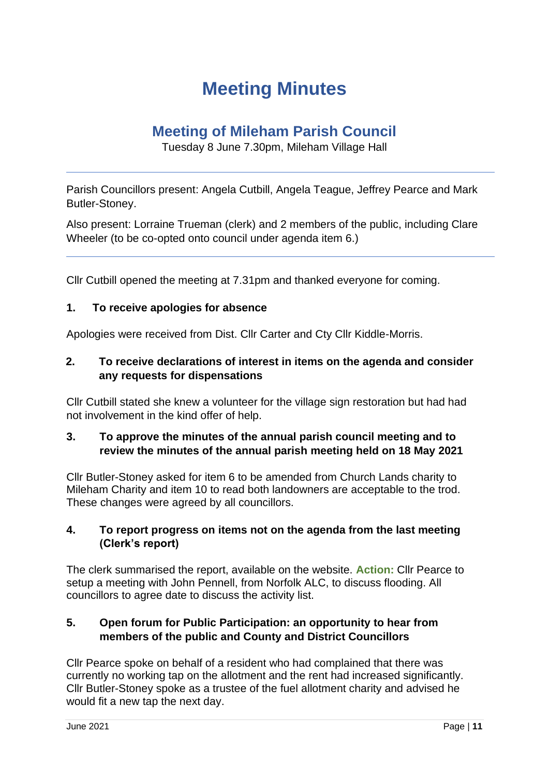# **Meeting Minutes**

# **Meeting of Mileham Parish Council**

Tuesday 8 June 7.30pm, Mileham Village Hall

Parish Councillors present: Angela Cutbill, Angela Teague, Jeffrey Pearce and Mark Butler-Stoney.

Also present: Lorraine Trueman (clerk) and 2 members of the public, including Clare Wheeler (to be co-opted onto council under agenda item 6.)

Cllr Cutbill opened the meeting at 7.31pm and thanked everyone for coming.

#### **1. To receive apologies for absence**

Apologies were received from Dist. Cllr Carter and Cty Cllr Kiddle-Morris.

### **2. To receive declarations of interest in items on the agenda and consider any requests for dispensations**

Cllr Cutbill stated she knew a volunteer for the village sign restoration but had had not involvement in the kind offer of help.

#### **3. To approve the minutes of the annual parish council meeting and to review the minutes of the annual parish meeting held on 18 May 2021**

Cllr Butler-Stoney asked for item 6 to be amended from Church Lands charity to Mileham Charity and item 10 to read both landowners are acceptable to the trod. These changes were agreed by all councillors.

#### **4. To report progress on items not on the agenda from the last meeting (Clerk's report)**

The clerk summarised the report, available on the website. **Action:** Cllr Pearce to setup a meeting with John Pennell, from Norfolk ALC, to discuss flooding. All councillors to agree date to discuss the activity list.

#### **5. Open forum for Public Participation: an opportunity to hear from members of the public and County and District Councillors**

Cllr Pearce spoke on behalf of a resident who had complained that there was currently no working tap on the allotment and the rent had increased significantly. Cllr Butler-Stoney spoke as a trustee of the fuel allotment charity and advised he would fit a new tap the next day.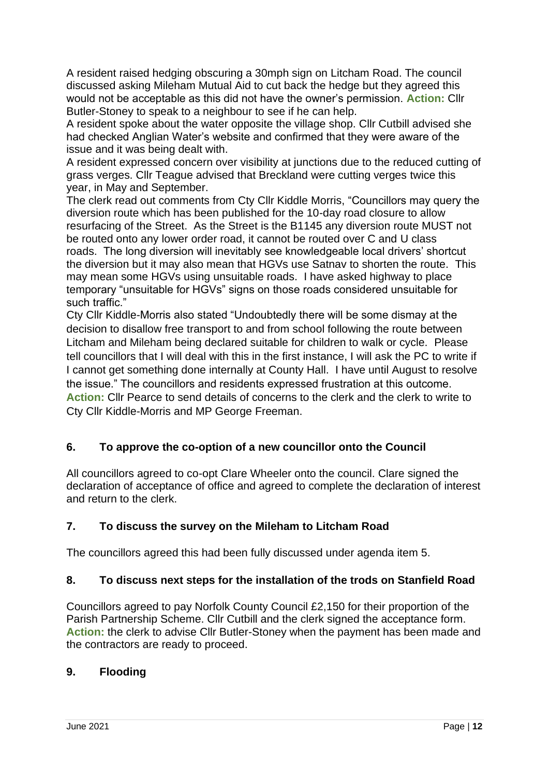A resident raised hedging obscuring a 30mph sign on Litcham Road. The council discussed asking Mileham Mutual Aid to cut back the hedge but they agreed this would not be acceptable as this did not have the owner's permission. **Action:** Cllr Butler-Stoney to speak to a neighbour to see if he can help.

A resident spoke about the water opposite the village shop. Cllr Cutbill advised she had checked Anglian Water's website and confirmed that they were aware of the issue and it was being dealt with.

A resident expressed concern over visibility at junctions due to the reduced cutting of grass verges. Cllr Teague advised that Breckland were cutting verges twice this year, in May and September.

The clerk read out comments from Cty Cllr Kiddle Morris, "Councillors may query the diversion route which has been published for the 10-day road closure to allow resurfacing of the Street. As the Street is the B1145 any diversion route MUST not be routed onto any lower order road, it cannot be routed over C and U class roads. The long diversion will inevitably see knowledgeable local drivers' shortcut the diversion but it may also mean that HGVs use Satnav to shorten the route. This may mean some HGVs using unsuitable roads. I have asked highway to place temporary "unsuitable for HGVs" signs on those roads considered unsuitable for such traffic."

Cty Cllr Kiddle-Morris also stated "Undoubtedly there will be some dismay at the decision to disallow free transport to and from school following the route between Litcham and Mileham being declared suitable for children to walk or cycle. Please tell councillors that I will deal with this in the first instance, I will ask the PC to write if I cannot get something done internally at County Hall. I have until August to resolve the issue." The councillors and residents expressed frustration at this outcome. **Action:** Cllr Pearce to send details of concerns to the clerk and the clerk to write to Cty Cllr Kiddle-Morris and MP George Freeman.

# **6. To approve the co-option of a new councillor onto the Council**

All councillors agreed to co-opt Clare Wheeler onto the council. Clare signed the declaration of acceptance of office and agreed to complete the declaration of interest and return to the clerk.

# **7. To discuss the survey on the Mileham to Litcham Road**

The councillors agreed this had been fully discussed under agenda item 5.

# **8. To discuss next steps for the installation of the trods on Stanfield Road**

Councillors agreed to pay Norfolk County Council £2,150 for their proportion of the Parish Partnership Scheme. Cllr Cutbill and the clerk signed the acceptance form. **Action:** the clerk to advise Cllr Butler-Stoney when the payment has been made and the contractors are ready to proceed.

#### **9. Flooding**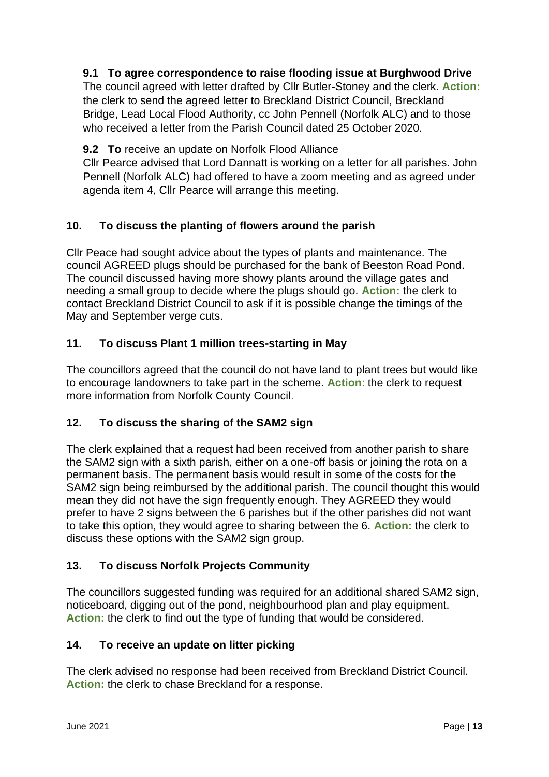# **9.1 To agree correspondence to raise flooding issue at Burghwood Drive**

The council agreed with letter drafted by Cllr Butler-Stoney and the clerk. **Action:** the clerk to send the agreed letter to Breckland District Council, Breckland Bridge, Lead Local Flood Authority, cc John Pennell (Norfolk ALC) and to those who received a letter from the Parish Council dated 25 October 2020.

**9.2 To** receive an update on Norfolk Flood Alliance

Cllr Pearce advised that Lord Dannatt is working on a letter for all parishes. John Pennell (Norfolk ALC) had offered to have a zoom meeting and as agreed under agenda item 4, Cllr Pearce will arrange this meeting.

# **10. To discuss the planting of flowers around the parish**

Cllr Peace had sought advice about the types of plants and maintenance. The council AGREED plugs should be purchased for the bank of Beeston Road Pond. The council discussed having more showy plants around the village gates and needing a small group to decide where the plugs should go. **Action:** the clerk to contact Breckland District Council to ask if it is possible change the timings of the May and September verge cuts.

# **11. To discuss Plant 1 million trees-starting in May**

The councillors agreed that the council do not have land to plant trees but would like to encourage landowners to take part in the scheme. **Action**: the clerk to request more information from Norfolk County Council.

# **12. To discuss the sharing of the SAM2 sign**

The clerk explained that a request had been received from another parish to share the SAM2 sign with a sixth parish, either on a one-off basis or joining the rota on a permanent basis. The permanent basis would result in some of the costs for the SAM2 sign being reimbursed by the additional parish. The council thought this would mean they did not have the sign frequently enough. They AGREED they would prefer to have 2 signs between the 6 parishes but if the other parishes did not want to take this option, they would agree to sharing between the 6. **Action:** the clerk to discuss these options with the SAM2 sign group.

# **13. To discuss Norfolk Projects Community**

The councillors suggested funding was required for an additional shared SAM2 sign, noticeboard, digging out of the pond, neighbourhood plan and play equipment. **Action:** the clerk to find out the type of funding that would be considered.

# **14. To receive an update on litter picking**

The clerk advised no response had been received from Breckland District Council. Action: the clerk to chase Breckland for a response.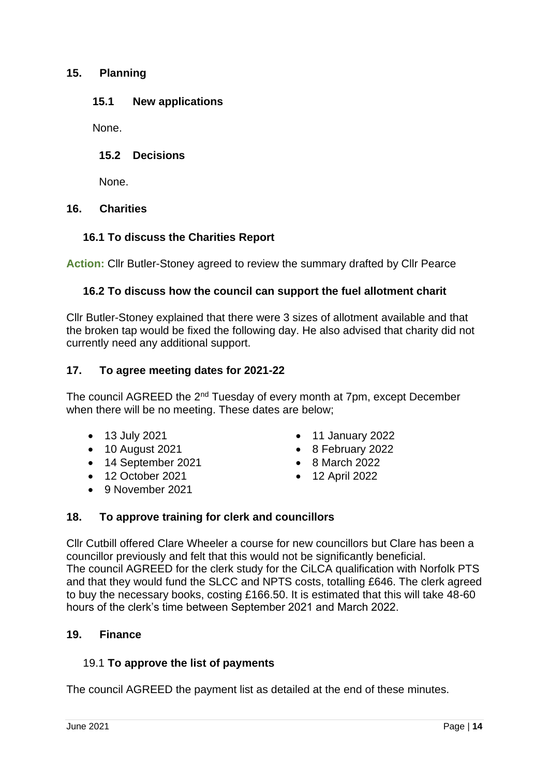#### **15. Planning**

#### **15.1 New applications**

None.

#### **15.2 Decisions**

None.

#### **16. Charities**

# **16.1 To discuss the Charities Report**

**Action:** Cllr Butler-Stoney agreed to review the summary drafted by Cllr Pearce

#### **16.2 To discuss how the council can support the fuel allotment charit**

Cllr Butler-Stoney explained that there were 3 sizes of allotment available and that the broken tap would be fixed the following day. He also advised that charity did not currently need any additional support.

#### **17. To agree meeting dates for 2021-22**

The council AGREED the 2<sup>nd</sup> Tuesday of every month at 7pm, except December when there will be no meeting. These dates are below;

- 
- 
- 14 September 2021 8 March 2022
- 12 October 2021 12 April 2022
- 9 November 2021
- 13 July 2021 11 January 2022
- 10 August 2021 8 February 2022
	-
	-

# **18. To approve training for clerk and councillors**

Cllr Cutbill offered Clare Wheeler a course for new councillors but Clare has been a councillor previously and felt that this would not be significantly beneficial. The council AGREED for the clerk study for the CiLCA qualification with Norfolk PTS and that they would fund the SLCC and NPTS costs, totalling £646. The clerk agreed to buy the necessary books, costing £166.50. It is estimated that this will take 48-60 hours of the clerk's time between September 2021 and March 2022.

#### **19. Finance**

#### 19.1 **To approve the list of payments**

The council AGREED the payment list as detailed at the end of these minutes.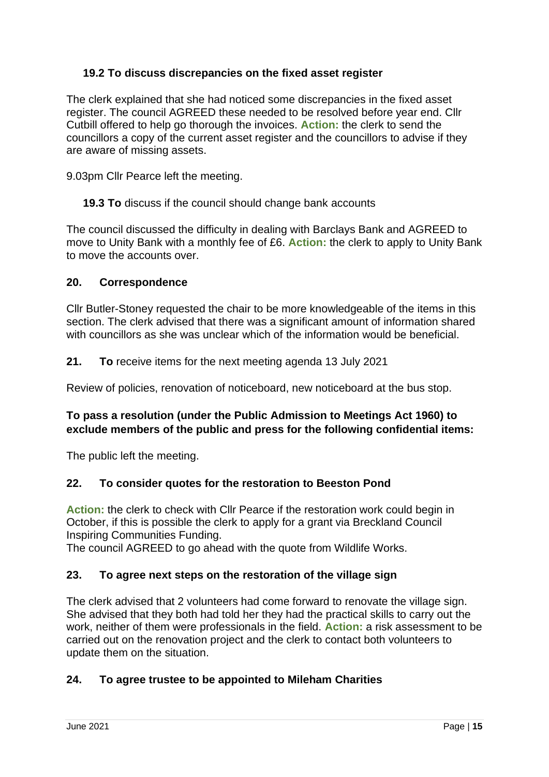# **19.2 To discuss discrepancies on the fixed asset register**

The clerk explained that she had noticed some discrepancies in the fixed asset register. The council AGREED these needed to be resolved before year end. Cllr Cutbill offered to help go thorough the invoices. **Action:** the clerk to send the councillors a copy of the current asset register and the councillors to advise if they are aware of missing assets.

9.03pm Cllr Pearce left the meeting.

**19.3 To** discuss if the council should change bank accounts

The council discussed the difficulty in dealing with Barclays Bank and AGREED to move to Unity Bank with a monthly fee of £6. **Action:** the clerk to apply to Unity Bank to move the accounts over.

#### **20. Correspondence**

Cllr Butler-Stoney requested the chair to be more knowledgeable of the items in this section. The clerk advised that there was a significant amount of information shared with councillors as she was unclear which of the information would be beneficial.

**21. To** receive items for the next meeting agenda 13 July 2021

Review of policies, renovation of noticeboard, new noticeboard at the bus stop.

# **To pass a resolution (under the Public Admission to Meetings Act 1960) to exclude members of the public and press for the following confidential items:**

The public left the meeting.

# **22. To consider quotes for the restoration to Beeston Pond**

**Action:** the clerk to check with Cllr Pearce if the restoration work could begin in October, if this is possible the clerk to apply for a grant via Breckland Council Inspiring Communities Funding.

The council AGREED to go ahead with the quote from Wildlife Works.

# **23. To agree next steps on the restoration of the village sign**

The clerk advised that 2 volunteers had come forward to renovate the village sign. She advised that they both had told her they had the practical skills to carry out the work, neither of them were professionals in the field. **Action:** a risk assessment to be carried out on the renovation project and the clerk to contact both volunteers to update them on the situation.

# **24. To agree trustee to be appointed to Mileham Charities**